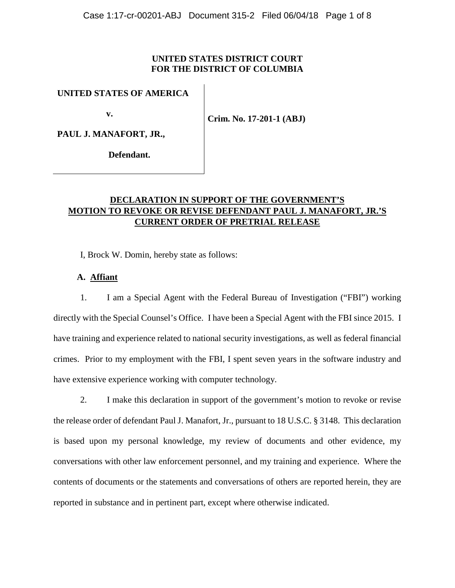## **UNITED STATES DISTRICT COURT FOR THE DISTRICT OF COLUMBIA**

## **UNITED STATES OF AMERICA**

 **v.** 

**Crim. No. 17-201-1 (ABJ)**

**PAUL J. MANAFORT, JR.,**

 **Defendant.**

# **DECLARATION IN SUPPORT OF THE GOVERNMENT'S MOTION TO REVOKE OR REVISE DEFENDANT PAUL J. MANAFORT, JR.'S CURRENT ORDER OF PRETRIAL RELEASE**

I, Brock W. Domin, hereby state as follows:

## **A. Affiant**

1. I am a Special Agent with the Federal Bureau of Investigation ("FBI") working directly with the Special Counsel's Office. I have been a Special Agent with the FBI since 2015. I have training and experience related to national security investigations, as well as federal financial crimes. Prior to my employment with the FBI, I spent seven years in the software industry and have extensive experience working with computer technology.

2. I make this declaration in support of the government's motion to revoke or revise the release order of defendant Paul J. Manafort, Jr., pursuant to 18 U.S.C. § 3148. This declaration is based upon my personal knowledge, my review of documents and other evidence, my conversations with other law enforcement personnel, and my training and experience. Where the contents of documents or the statements and conversations of others are reported herein, they are reported in substance and in pertinent part, except where otherwise indicated.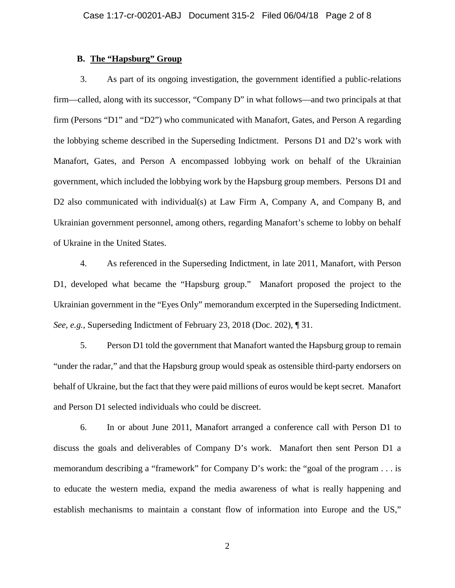#### **B. The "Hapsburg" Group**

3. As part of its ongoing investigation, the government identified a public-relations firm—called, along with its successor, "Company D" in what follows—and two principals at that firm (Persons "D1" and "D2") who communicated with Manafort, Gates, and Person A regarding the lobbying scheme described in the Superseding Indictment. Persons D1 and D2's work with Manafort, Gates, and Person A encompassed lobbying work on behalf of the Ukrainian government, which included the lobbying work by the Hapsburg group members. Persons D1 and D2 also communicated with individual(s) at Law Firm A, Company A, and Company B, and Ukrainian government personnel, among others, regarding Manafort's scheme to lobby on behalf of Ukraine in the United States.

4. As referenced in the Superseding Indictment, in late 2011, Manafort, with Person D1, developed what became the "Hapsburg group." Manafort proposed the project to the Ukrainian government in the "Eyes Only" memorandum excerpted in the Superseding Indictment. *See, e.g.*, Superseding Indictment of February 23, 2018 (Doc. 202), ¶ 31.

5. Person D1 told the government that Manafort wanted the Hapsburg group to remain "under the radar," and that the Hapsburg group would speak as ostensible third-party endorsers on behalf of Ukraine, but the fact that they were paid millions of euros would be kept secret. Manafort and Person D1 selected individuals who could be discreet.

6. In or about June 2011, Manafort arranged a conference call with Person D1 to discuss the goals and deliverables of Company D's work. Manafort then sent Person D1 a memorandum describing a "framework" for Company D's work: the "goal of the program . . . is to educate the western media, expand the media awareness of what is really happening and establish mechanisms to maintain a constant flow of information into Europe and the US,"

2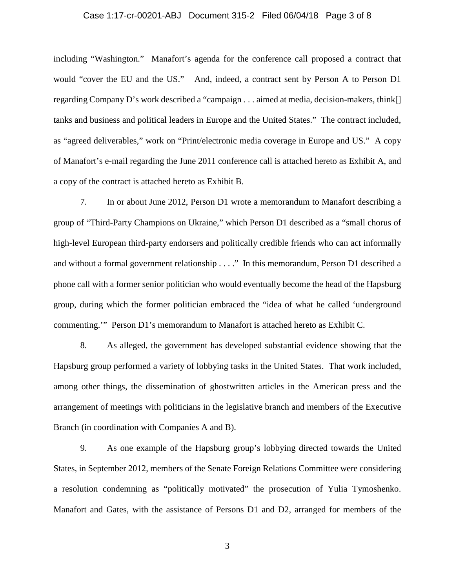#### Case 1:17-cr-00201-ABJ Document 315-2 Filed 06/04/18 Page 3 of 8

including "Washington." Manafort's agenda for the conference call proposed a contract that would "cover the EU and the US." And, indeed, a contract sent by Person A to Person D1 regarding Company D's work described a "campaign . . . aimed at media, decision-makers, think[] tanks and business and political leaders in Europe and the United States." The contract included, as "agreed deliverables," work on "Print/electronic media coverage in Europe and US." A copy of Manafort's e-mail regarding the June 2011 conference call is attached hereto as Exhibit A, and a copy of the contract is attached hereto as Exhibit B.

7. In or about June 2012, Person D1 wrote a memorandum to Manafort describing a group of "Third-Party Champions on Ukraine," which Person D1 described as a "small chorus of high-level European third-party endorsers and politically credible friends who can act informally and without a formal government relationship . . . ." In this memorandum, Person D1 described a phone call with a former senior politician who would eventually become the head of the Hapsburg group, during which the former politician embraced the "idea of what he called 'underground commenting.'" Person D1's memorandum to Manafort is attached hereto as Exhibit C.

8. As alleged, the government has developed substantial evidence showing that the Hapsburg group performed a variety of lobbying tasks in the United States. That work included, among other things, the dissemination of ghostwritten articles in the American press and the arrangement of meetings with politicians in the legislative branch and members of the Executive Branch (in coordination with Companies A and B).

9. As one example of the Hapsburg group's lobbying directed towards the United States, in September 2012, members of the Senate Foreign Relations Committee were considering a resolution condemning as "politically motivated" the prosecution of Yulia Tymoshenko. Manafort and Gates, with the assistance of Persons D1 and D2, arranged for members of the

3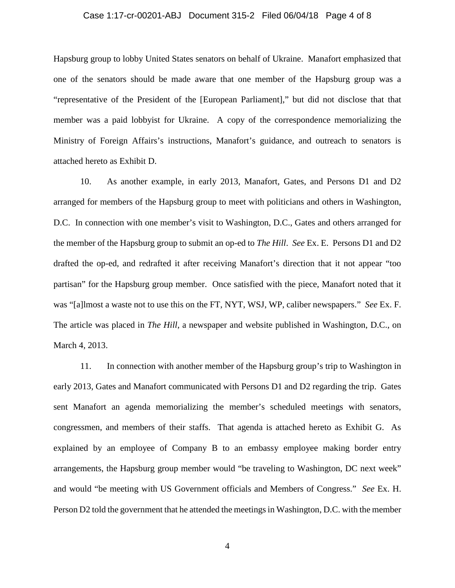#### Case 1:17-cr-00201-ABJ Document 315-2 Filed 06/04/18 Page 4 of 8

Hapsburg group to lobby United States senators on behalf of Ukraine. Manafort emphasized that one of the senators should be made aware that one member of the Hapsburg group was a "representative of the President of the [European Parliament]," but did not disclose that that member was a paid lobbyist for Ukraine. A copy of the correspondence memorializing the Ministry of Foreign Affairs's instructions, Manafort's guidance, and outreach to senators is attached hereto as Exhibit D.

10. As another example, in early 2013, Manafort, Gates, and Persons D1 and D2 arranged for members of the Hapsburg group to meet with politicians and others in Washington, D.C. In connection with one member's visit to Washington, D.C., Gates and others arranged for the member of the Hapsburg group to submit an op-ed to *The Hill*. *See* Ex. E. Persons D1 and D2 drafted the op-ed, and redrafted it after receiving Manafort's direction that it not appear "too partisan" for the Hapsburg group member. Once satisfied with the piece, Manafort noted that it was "[a]lmost a waste not to use this on the FT, NYT, WSJ, WP, caliber newspapers." *See* Ex. F. The article was placed in *The Hill*, a newspaper and website published in Washington, D.C., on March 4, 2013.

11. In connection with another member of the Hapsburg group's trip to Washington in early 2013, Gates and Manafort communicated with Persons D1 and D2 regarding the trip. Gates sent Manafort an agenda memorializing the member's scheduled meetings with senators, congressmen, and members of their staffs. That agenda is attached hereto as Exhibit G. As explained by an employee of Company B to an embassy employee making border entry arrangements, the Hapsburg group member would "be traveling to Washington, DC next week" and would "be meeting with US Government officials and Members of Congress." *See* Ex. H. Person D2 told the government that he attended the meetings in Washington, D.C. with the member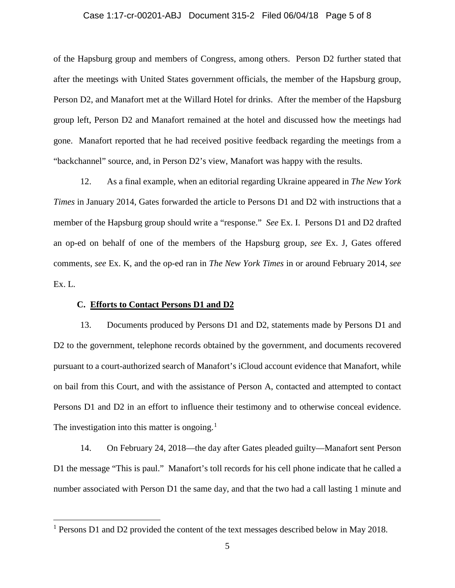#### Case 1:17-cr-00201-ABJ Document 315-2 Filed 06/04/18 Page 5 of 8

of the Hapsburg group and members of Congress, among others. Person D2 further stated that after the meetings with United States government officials, the member of the Hapsburg group, Person D2, and Manafort met at the Willard Hotel for drinks. After the member of the Hapsburg group left, Person D2 and Manafort remained at the hotel and discussed how the meetings had gone. Manafort reported that he had received positive feedback regarding the meetings from a "backchannel" source, and, in Person D2's view, Manafort was happy with the results.

12. As a final example, when an editorial regarding Ukraine appeared in *The New York Times* in January 2014, Gates forwarded the article to Persons D1 and D2 with instructions that a member of the Hapsburg group should write a "response." *See* Ex. I. Persons D1 and D2 drafted an op-ed on behalf of one of the members of the Hapsburg group, *see* Ex. J, Gates offered comments, *see* Ex. K, and the op-ed ran in *The New York Times* in or around February 2014, *see*  Ex. L.

#### **C. Efforts to Contact Persons D1 and D2**

13. Documents produced by Persons D1 and D2, statements made by Persons D1 and D2 to the government, telephone records obtained by the government, and documents recovered pursuant to a court-authorized search of Manafort's iCloud account evidence that Manafort, while on bail from this Court, and with the assistance of Person A, contacted and attempted to contact Persons D1 and D2 in an effort to influence their testimony and to otherwise conceal evidence. The investigation into this matter is ongoing.<sup>[1](#page-4-0)</sup>

14. On February 24, 2018—the day after Gates pleaded guilty—Manafort sent Person D1 the message "This is paul." Manafort's toll records for his cell phone indicate that he called a number associated with Person D1 the same day, and that the two had a call lasting 1 minute and

<span id="page-4-0"></span> <sup>1</sup> Persons D1 and D2 provided the content of the text messages described below in May 2018.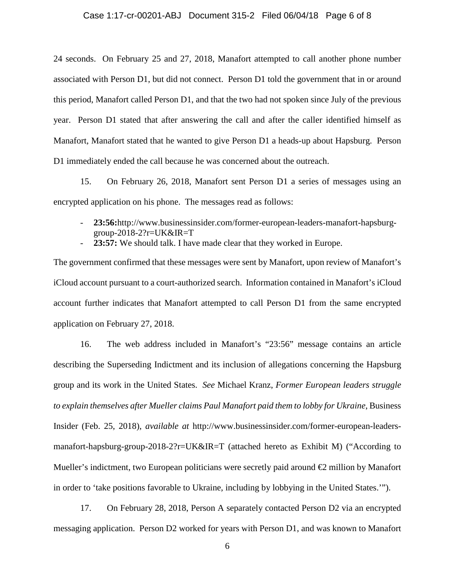#### Case 1:17-cr-00201-ABJ Document 315-2 Filed 06/04/18 Page 6 of 8

24 seconds. On February 25 and 27, 2018, Manafort attempted to call another phone number associated with Person D1, but did not connect. Person D1 told the government that in or around this period, Manafort called Person D1, and that the two had not spoken since July of the previous year. Person D1 stated that after answering the call and after the caller identified himself as Manafort, Manafort stated that he wanted to give Person D1 a heads-up about Hapsburg. Person D1 immediately ended the call because he was concerned about the outreach.

15. On February 26, 2018, Manafort sent Person D1 a series of messages using an encrypted application on his phone. The messages read as follows:

- **23:56:**http://www.businessinsider.com/former-european-leaders-manafort-hapsburggroup-2018-2?r=UK&IR=T
- **23:57:** We should talk. I have made clear that they worked in Europe.

The government confirmed that these messages were sent by Manafort, upon review of Manafort's iCloud account pursuant to a court-authorized search. Information contained in Manafort's iCloud account further indicates that Manafort attempted to call Person D1 from the same encrypted application on February 27, 2018.

16. The web address included in Manafort's "23:56" message contains an article describing the Superseding Indictment and its inclusion of allegations concerning the Hapsburg group and its work in the United States. *See* Michael Kranz, *Former European leaders struggle to explain themselves after Mueller claims Paul Manafort paid them to lobby for Ukraine*, Business Insider (Feb. 25, 2018), *available at* http://www.businessinsider.com/former-european-leadersmanafort-hapsburg-group-2018-2?r=UK&IR=T (attached hereto as Exhibit M) ("According to Mueller's indictment, two European politicians were secretly paid around  $\epsilon$  million by Manafort in order to 'take positions favorable to Ukraine, including by lobbying in the United States.'").

17. On February 28, 2018, Person A separately contacted Person D2 via an encrypted messaging application. Person D2 worked for years with Person D1, and was known to Manafort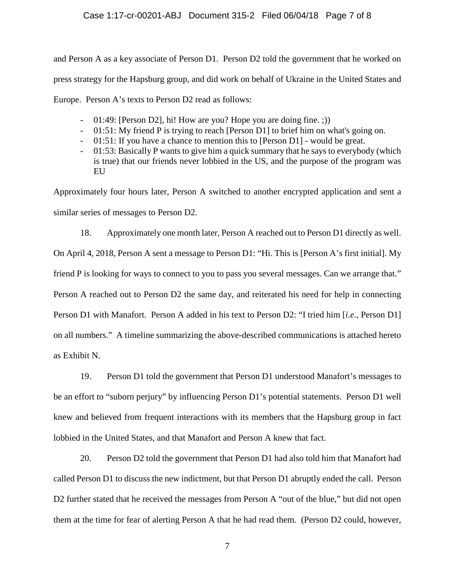### Case 1:17-cr-00201-ABJ Document 315-2 Filed 06/04/18 Page 7 of 8

and Person A as a key associate of Person D1. Person D2 told the government that he worked on press strategy for the Hapsburg group, and did work on behalf of Ukraine in the United States and Europe. Person A's texts to Person D2 read as follows:

- 01:49: [Person D2], hi! How are you? Hope you are doing fine. ;))
- 01:51: My friend P is trying to reach [Person D1] to brief him on what's going on.
- 01:51: If you have a chance to mention this to [Person D1] would be great.
- 01:53: Basically P wants to give him a quick summary that he says to everybody (which is true) that our friends never lobbied in the US, and the purpose of the program was EU

Approximately four hours later, Person A switched to another encrypted application and sent a similar series of messages to Person D2.

18. Approximately one month later, Person A reached out to Person D1 directly as well. On April 4, 2018, Person A sent a message to Person D1: "Hi. This is [Person A's first initial]. My friend P is looking for ways to connect to you to pass you several messages. Can we arrange that." Person A reached out to Person D2 the same day, and reiterated his need for help in connecting Person D1 with Manafort. Person A added in his text to Person D2: "I tried him [*i.e.*, Person D1] on all numbers." A timeline summarizing the above-described communications is attached hereto as Exhibit N.

19. Person D1 told the government that Person D1 understood Manafort's messages to be an effort to "suborn perjury" by influencing Person D1's potential statements. Person D1 well knew and believed from frequent interactions with its members that the Hapsburg group in fact lobbied in the United States, and that Manafort and Person A knew that fact.

20. Person D2 told the government that Person D1 had also told him that Manafort had called Person D1 to discuss the new indictment, but that Person D1 abruptly ended the call. Person D2 further stated that he received the messages from Person A "out of the blue," but did not open them at the time for fear of alerting Person A that he had read them. (Person D2 could, however,